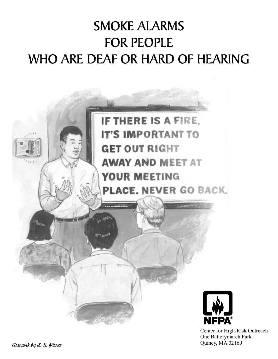# SMOKE ALARMS FOR PEOPLE WHO ARE DEAF OR HARD OF HEARING



Center for High-Risk Outreach One Batterymarch Park Quincy, MA 02169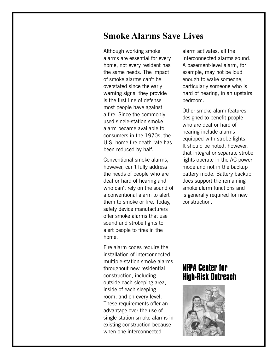### **Smoke Alarms Save Lives**

Although working smoke alarms are essential for every home, not every resident has the same needs. The impact of smoke alarms can't be overstated since the early warning signal they provide is the first line of defense most people have against a fire. Since the commonly used single-station smoke alarm became available to consumers in the 1970s, the U.S. home fire death rate has been reduced by half.

Conventional smoke alarms, however, can't fully address the needs of people who are deaf or hard of hearing and who can't rely on the sound of a conventional alarm to alert them to smoke or fire. Today, safety device manufacturers offer smoke alarms that use sound and strobe lights to alert people to fires in the home.

Fire alarm codes require the installation of interconnected, multiple-station smoke alarms throughout new residential construction, including outside each sleeping area, inside of each sleeping room, and on every level. These requirements offer an advantage over the use of single-station smoke alarms in existing construction because when one interconnected

alarm activates, all the interconnected alarms sound. A basement-level alarm, for example, may not be loud enough to wake someone, particularly someone who is hard of hearing, in an upstairs bedroom.

Other smoke alarm features designed to benefit people who are deaf or hard of hearing include alarms equipped with strobe lights. It should be noted, however, that integral or separate strobe lights operate in the AC power mode and not in the backup battery mode. Battery backup does support the remaining smoke alarm functions and is generally required for new construction.

### **NFPA Center for High-Risk Outreach**

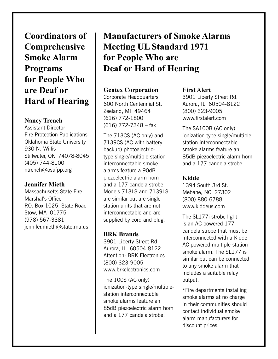**Coordinators of Comprehensive Smoke Alarm Programs for People Who are Deaf or Hard of Hearing**

#### **Nancy Trench**

Assistant Director Fire Protection Publications Oklahoma State University 930 N. Willis Stillwater, OK 74078-8045 (405) 744-8100 ntrench@osufpp.org

#### **Jennifer Mieth**

Massachusetts State Fire Marshal's Office P.O. Box 1025, State Road Stow, MA 01775 (978) 567-3381 jennifer.mieth@state.ma.us

## **Manufacturers of Smoke Alarms Meeting UL Standard 1971 for People Who are Deaf or Hard of Hearing**

#### **Gentex Corporation**

Corporate Headquarters 600 North Centennial St. Zeeland, MI 49464 (616) 772-1800 (616) 772-7348 – fax

The 713CS (AC only) and 7139CS (AC with battery backup) photoelectrictype single/multiple-station interconnectable smoke alarms feature a 90dB piezoelectric alarm horn and a 177 candela strobe. Models 713LS and 7139LS are similar but are singlestation units that are not interconnectable and are supplied by cord and plug.

#### **BRK Brands**

3901 Liberty Street Rd. Aurora, IL 60504-8122 Attention: BRK Electronics (800) 323-9005 www.brkelectronics.com

The 100S (AC only) ionization-type single/multiplestation interconnectable smoke alarms feature an 85dB piezoelectric alarm horn and a 177 candela strobe.

#### **First Alert**

3901 Liberty Street Rd. Aurora, IL 60504-8122 (800) 323-9005 www.firstalert.com

The SA100B (AC only) ionization-type single/multiplestation interconnectable smoke alarms feature an 85dB piezoelectric alarm horn and a 177 candela strobe.

#### **Kidde**

1394 South 3rd St. Mebane, NC 27302 (800) 880-6788 www.kiddeus.com

The SL177i strobe light is an AC powered 177 candela strobe that must be interconnected with a Kidde AC powered multiple-station smoke alarm. The SL177 is similar but can be connected to any smoke alarm that includes a suitable relay output.

\*Fire departments installing smoke alarms at no charge in their communities should contact individual smoke alarm manufacturers for discount prices.